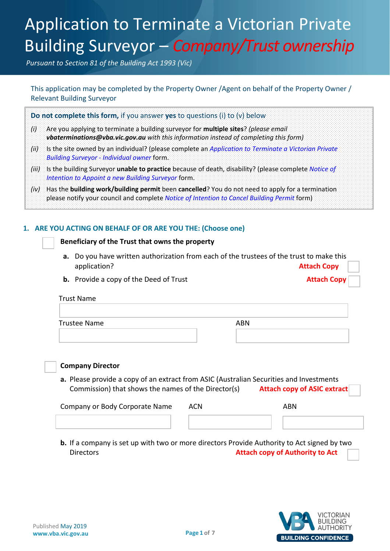## Application to Terminate a Victorian Private Application to Terminate a Victorian Private Building Surveyor – *Company/Trust ownership*

*Pursuant to Section 81 of the Building Act 1993 (Vic)*

This application may be completed by the Property Owner /Agent on behalf of the Property Owner / Relevant Building Surveyor

**Do not complete this form,** if you answer **yes** to questions (i) to (v) below

- *(i)* Are you applying to terminate a building surveyor for **multiple sites**? *(please email vbaterminations@vba.vic.gov.au with this information instead of completing this form)*
- *(ii)* Is the site owned by an individual? (please complete an *Application to Terminate a Victorian Private Building Surveyor - Individual owner* form.
- *(iii)* Is the building Surveyor **unable to practice** because of death, disability? (please complete *Notice of Intention to Appoint a new Building Surveyor* form.
- *(iv)* Has the **building work/building permit** been **cancelled**? You do not need to apply for a termination please notify your council and complete *Notice of Intention to Cancel Building Permit* form)

#### **1. ARE YOU ACTING ON BEHALF OF OR ARE YOU THE: (Choose one)**

#### **Beneficiary of the Trust that owns the property**

- **a.** Do you have written authorization from each of the trustees of the trust to make this application? **Attach Copy**
- **b.** Provide a copy of the Deed of Trust **Attach Copy Attach Copy**

#### Trust Name

| Trustee Name | <b>ABN</b> |
|--------------|------------|
|              |            |
|              |            |



#### **Company Director**

**a.** Please provide a copy of an extract from ASIC (Australian Securities and Investments Commission) that shows the names of the Director(s) **Attach copy of ASIC extract**

| Company or Body Corporate Name | <b>ACN</b> | <b>ABN</b> |  |
|--------------------------------|------------|------------|--|
|                                |            |            |  |

**b.** If a company is set up with two or more directors Provide Authority to Act signed by two Directors **Attach copy of Authority to Act**

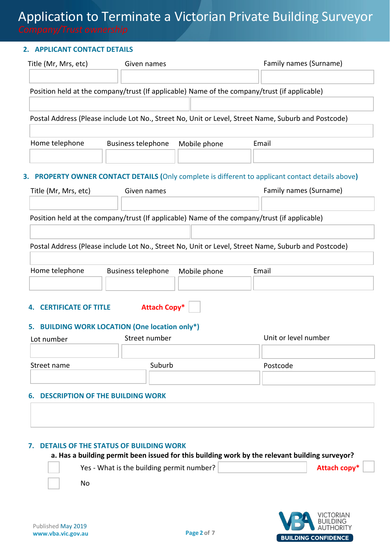#### **2. APPLICANT CONTACT DETAILS**

| Title (Mr, Mrs, etc) | Given names                                                                                  | Family names (Surname)                                                                              |
|----------------------|----------------------------------------------------------------------------------------------|-----------------------------------------------------------------------------------------------------|
|                      | Position held at the company/trust (If applicable) Name of the company/trust (if applicable) |                                                                                                     |
|                      |                                                                                              | Postal Address (Please include Lot No., Street No, Unit or Level, Street Name, Suburb and Postcode) |
|                      |                                                                                              |                                                                                                     |
| Home telephone       | <b>Business telephone</b><br>Mobile phone                                                    | Email                                                                                               |
|                      |                                                                                              | 3. PROPERTY OWNER CONTACT DETAILS (Only complete is different to applicant contact details above)   |
| Title (Mr, Mrs, etc) | Given names                                                                                  | Family names (Surname)                                                                              |
|                      | Position held at the company/trust (If applicable) Name of the company/trust (if applicable) |                                                                                                     |
|                      |                                                                                              | Postal Address (Please include Lot No., Street No, Unit or Level, Street Name, Suburb and Postcode) |
| Home telephone       | <b>Business telephone</b><br>Mobile phone                                                    | Email                                                                                               |
|                      |                                                                                              |                                                                                                     |

#### **4. CERTIFICATE OF TITLE Attach Copy\***

#### **5. BUILDING WORK LOCATION (One location only\*)**

| Lot number  | Street number | Unit or level number |
|-------------|---------------|----------------------|
|             |               |                      |
| Street name | Suburb        | Postcode             |
|             |               |                      |

#### **6. DESCRIPTION OF THE BUILDING WORK**

#### **7. DETAILS OF THE STATUS OF BUILDING WORK**

#### **a. Has a building permit been issued for this building work by the relevant building surveyor?**



Yes - What is the building permit number? **Attach Attach copy** \*

No

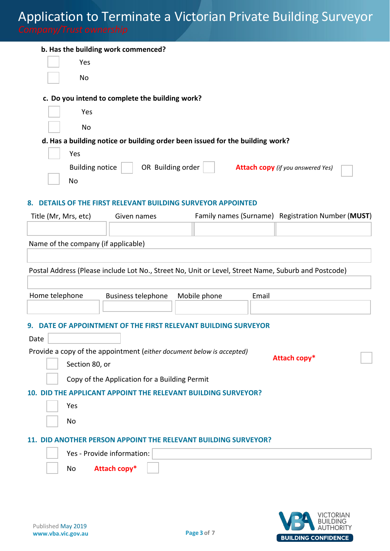| $1.0000$ order only                                                                                 |                   |                                                   |
|-----------------------------------------------------------------------------------------------------|-------------------|---------------------------------------------------|
| b. Has the building work commenced?                                                                 |                   |                                                   |
| Yes                                                                                                 |                   |                                                   |
| No                                                                                                  |                   |                                                   |
| c. Do you intend to complete the building work?                                                     |                   |                                                   |
| Yes                                                                                                 |                   |                                                   |
| No                                                                                                  |                   |                                                   |
| d. Has a building notice or building order been issued for the building work?                       |                   |                                                   |
| Yes                                                                                                 |                   |                                                   |
| <b>Building notice</b>                                                                              | OR Building order | <b>Attach copy</b> (if you answered Yes)          |
| <b>No</b>                                                                                           |                   |                                                   |
| DETAILS OF THE FIRST RELEVANT BUILDING SURVEYOR APPOINTED<br>8.                                     |                   |                                                   |
| Title (Mr, Mrs, etc)<br>Given names                                                                 |                   | Family names (Surname) Registration Number (MUST) |
|                                                                                                     |                   |                                                   |
| Name of the company (if applicable)                                                                 |                   |                                                   |
|                                                                                                     |                   |                                                   |
| Postal Address (Please include Lot No., Street No, Unit or Level, Street Name, Suburb and Postcode) |                   |                                                   |
| Home telephone<br><b>Business telephone</b>                                                         | Mobile phone      | Email                                             |
|                                                                                                     |                   |                                                   |
| DATE OF APPOINTMENT OF THE FIRST RELEVANT BUILDING SURVEYOR                                         |                   |                                                   |
| Date                                                                                                |                   |                                                   |
| Provide a copy of the appointment (either document below is accepted)                               |                   |                                                   |
| Section 80, or                                                                                      |                   | Attach copy*                                      |
| Copy of the Application for a Building Permit                                                       |                   |                                                   |
| <b>APPLICANT APPOINT THE RELEVANT BUILDING SURVEYOR?</b><br>10. DID THE                             |                   |                                                   |
| Yes                                                                                                 |                   |                                                   |
| No                                                                                                  |                   |                                                   |
| 11. DID ANOTHER PERSON APPOINT THE RELEVANT BUILDING SURVEYOR?                                      |                   |                                                   |

|    | Yes - Provide information: |  |
|----|----------------------------|--|
| No | Attach copy*               |  |

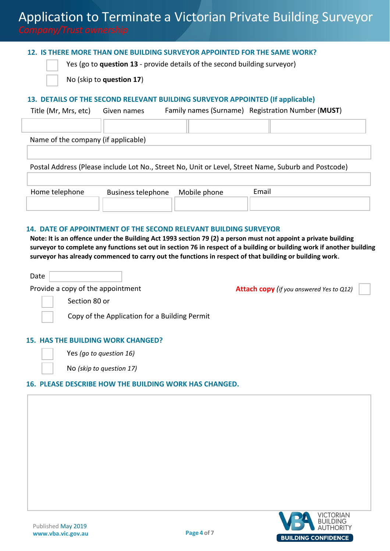#### **12. IS THERE MORE THAN ONE BUILDING SURVEYOR APPOINTED FOR THE SAME WORK?**

Yes (go to **question 13** - provide details of the second building surveyor)



No (skip to **question 17**)

#### **13. DETAILS OF THE SECOND RELEVANT BUILDING SURVEYOR APPOINTED (If applicable)**

Title (Mr, Mrs, etc) Given names Family names (Surname) Registration Number (**MUST**)

Name of the company (if applicable)

Postal Address (Please include Lot No., Street No, Unit or Level, Street Name, Suburb and Postcode)

| Home telephone | Business telephone  Mobile phone | Email |
|----------------|----------------------------------|-------|
|                |                                  |       |

#### **14. DATE OF APPOINTMENT OF THE SECOND RELEVANT BUILDING SURVEYOR**

**Note: It is an offence under the Building Act 1993 section 79 (2) a person must not appoint a private building surveyor to complete any functions set out in section 76 in respect of a building or building work if another building surveyor has already commenced to carry out the functions in respect of that building or building work**.

Date Provide a copy of the appointment **Attach copy** *(if you answered Yes to Q12)*

Section 80 or

Copy of the Application for a Building Permit

#### **15. HAS THE BUILDING WORK CHANGED?**



Yes *(go to question 16)* 

No *(skip to question 17)*

#### **16. PLEASE DESCRIBE HOW THE BUILDING WORK HAS CHANGED.**

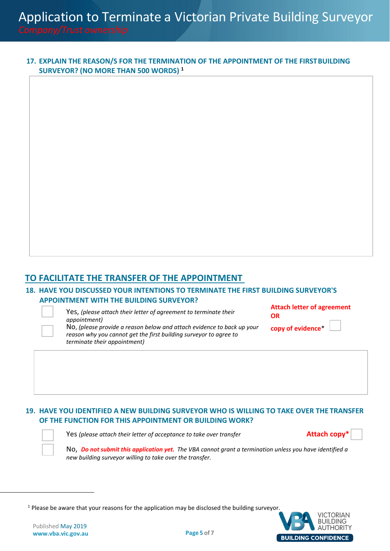#### **17. EXPLAIN THE REASON/S FOR THE TERMINATION OF THE APPOINTMENT OF THE FIRSTBUILDING SURVEYOR? (NO MORE THAN 500 WORDS) <sup>1</sup>**

### **TO FACILITATE THE TRANSFER OF THE APPOINTMENT**

#### **18. HAVE YOU DISCUSSED YOUR INTENTIONS TO TERMINATE THE FIRST BUILDING SURVEYOR'S APPOINTMENT WITH THE BUILDING SURVEYOR?**

Yes, *(please attach their letter of agreement to terminate their appointment)*

**Attach letter of agreement OR**

No, *(please provide a reason below and attach evidence to back up your reason why you cannot get the first building surveyor to agree to terminate their appointment)* 

**copy of evidence**\*

### **19. HAVE YOU IDENTIFIED A NEW BUILDING SURVEYOR WHO IS WILLING TO TAKE OVER THE TRANSFER OF THE FUNCTION FOR THIS APPOINTMENT OR BUILDING WORK?**

Yes *(please attach their letter of acceptance to take over transfer* **Attach copy\***

No, *Do not submit this application yet. The VBA cannot grant a termination unless you have identified a new building surveyor willing to take over the transfer.*

 $<sup>1</sup>$  Please be aware that your reasons for the application may be disclosed the building surveyor.</sup>

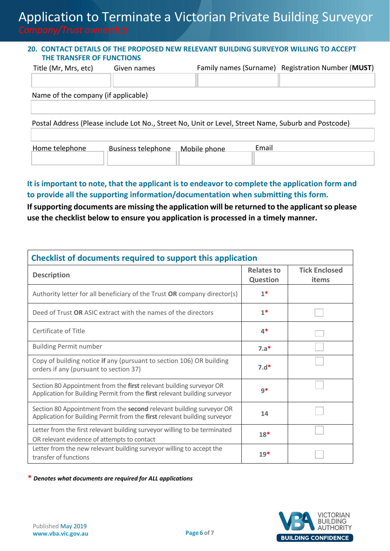#### **20. CONTACT DETAILS OF THE PROPOSED NEW RELEVANT BUILDING SURVEYOR WILLING TO ACCEPT THE TRANSFER OF FUNCTIONS**

| Title (Mr, Mrs, etc)                | Given names | Family names (Surname) Registration Number (MUST) |
|-------------------------------------|-------------|---------------------------------------------------|
|                                     |             |                                                   |
| Name of the company (if applicable) |             |                                                   |
|                                     |             |                                                   |

Postal Address (Please include Lot No., Street No, Unit or Level, Street Name, Suburb and Postcode)

| Home telephone | Business telephone Mobile phone | ™ail |
|----------------|---------------------------------|------|
|                |                                 |      |
|                |                                 |      |

### **It is important to note, that the applicant is to endeavor to complete the application form and to provide all the supporting information/documentation when submitting this form.**

**If supporting documents are missing the application will be returned to the applicant so please use the checklist below to ensure you application is processed in a timely manner.**

| Checklist of documents required to support this application                                                                                       |                                      |                               |  |  |
|---------------------------------------------------------------------------------------------------------------------------------------------------|--------------------------------------|-------------------------------|--|--|
| <b>Description</b>                                                                                                                                | <b>Relates to</b><br><b>Question</b> | <b>Tick Enclosed</b><br>items |  |  |
| Authority letter for all beneficiary of the Trust OR company director(s)                                                                          | $1*$                                 |                               |  |  |
| Deed of Trust OR ASIC extract with the names of the directors                                                                                     | $1*$                                 |                               |  |  |
| Certificate of Title                                                                                                                              | 4*                                   |                               |  |  |
| <b>Building Permit number</b>                                                                                                                     | $7.a*$                               |                               |  |  |
| Copy of building notice if any (pursuant to section 106) OR building<br>orders if any (pursuant to section 37)                                    | $7.d*$                               |                               |  |  |
| Section 80 Appointment from the first relevant building surveyor OR<br>Application for Building Permit from the first relevant building surveyor  | $9*$                                 |                               |  |  |
| Section 80 Appointment from the second relevant building surveyor OR<br>Application for Building Permit from the first relevant building surveyor | 14                                   |                               |  |  |
| Letter from the first relevant building surveyor willing to be terminated<br>OR relevant evidence of attempts to contact                          | $18*$                                |                               |  |  |
| Letter from the new relevant building surveyor willing to accept the<br>transfer of functions                                                     | $19*$                                |                               |  |  |

**\*** *Denotes what documents are required for ALL applications*